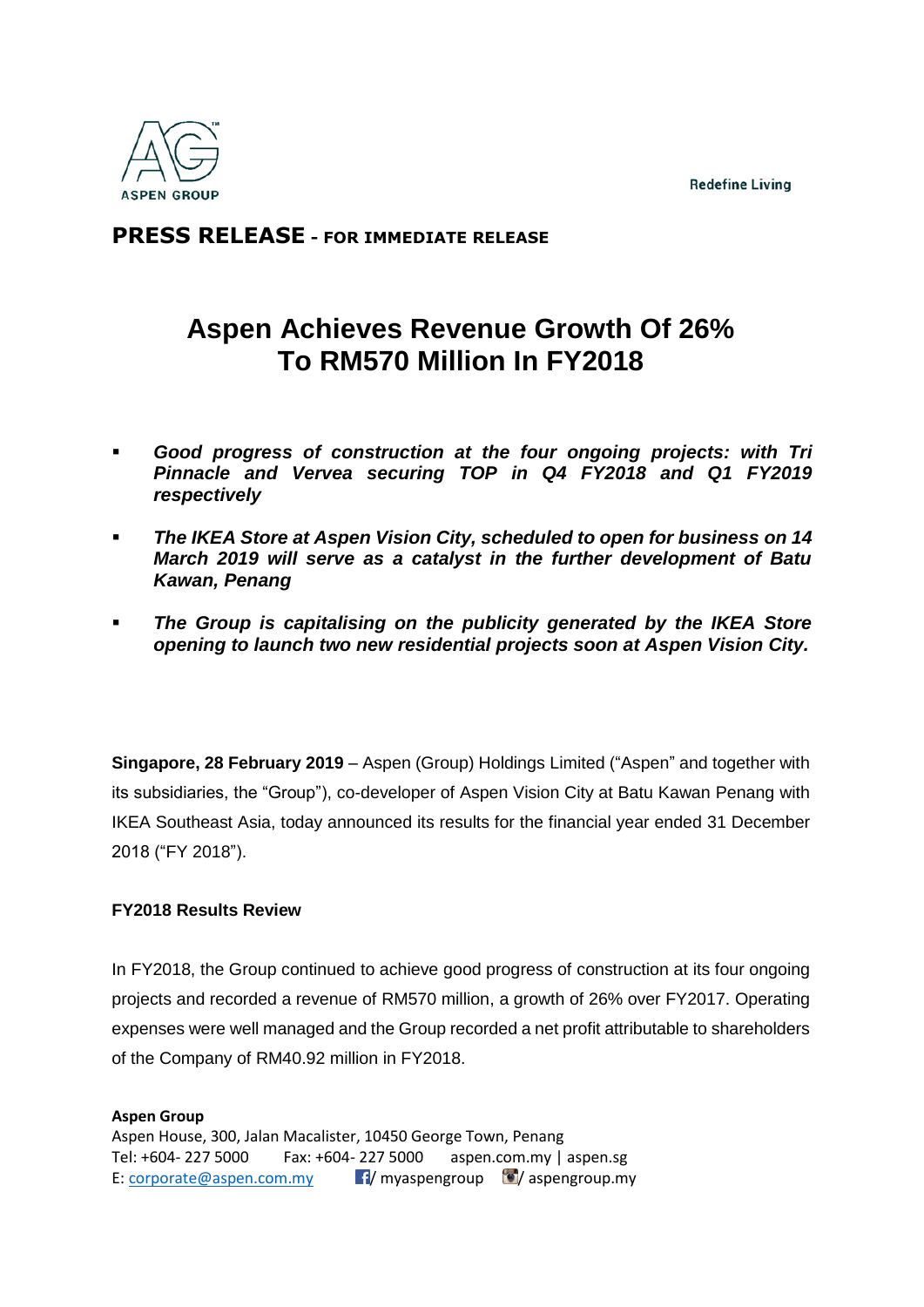**Redefine Living** 



## **PRESS RELEASE - FOR IMMEDIATE RELEASE**

# **Aspen Achieves Revenue Growth Of 26% To RM570 Million In FY2018**

- *Good progress of construction at the four ongoing projects: with Tri Pinnacle and Vervea securing TOP in Q4 FY2018 and Q1 FY2019 respectively*
- *The IKEA Store at Aspen Vision City, scheduled to open for business on 14 March 2019 will serve as a catalyst in the further development of Batu Kawan, Penang*
- *The Group is capitalising on the publicity generated by the IKEA Store opening to launch two new residential projects soon at Aspen Vision City.*

**Singapore, 28 February 2019** – Aspen (Group) Holdings Limited ("Aspen" and together with its subsidiaries, the "Group"), co-developer of Aspen Vision City at Batu Kawan Penang with IKEA Southeast Asia, today announced its results for the financial year ended 31 December 2018 ("FY 2018").

### **FY2018 Results Review**

In FY2018, the Group continued to achieve good progress of construction at its four ongoing projects and recorded a revenue of RM570 million, a growth of 26% over FY2017. Operating expenses were well managed and the Group recorded a net profit attributable to shareholders of the Company of RM40.92 million in FY2018.

#### **Aspen Group**  Aspen House, 300, Jalan Macalister, 10450 George Town, Penang Tel: +604- 227 5000 Fax: +604- 227 5000 aspen.com.my | aspen.sg E: [corporate@aspen.com.my](mailto:corporate@aspen.com.my)  $\blacksquare$ / myaspengroup  $\blacksquare$ / aspengroup.my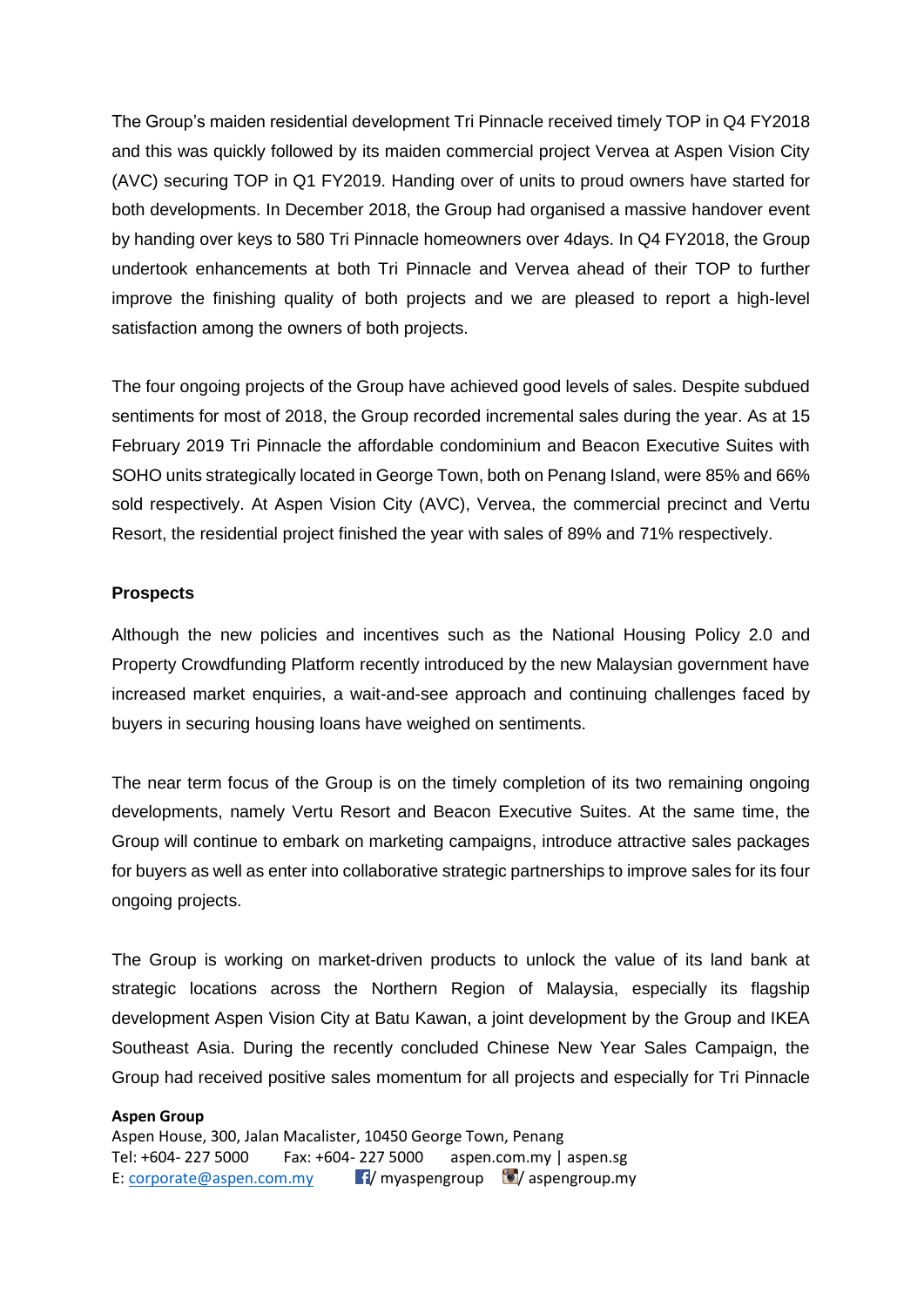The Group's maiden residential development Tri Pinnacle received timely TOP in Q4 FY2018 and this was quickly followed by its maiden commercial project Vervea at Aspen Vision City (AVC) securing TOP in Q1 FY2019. Handing over of units to proud owners have started for both developments. In December 2018, the Group had organised a massive handover event by handing over keys to 580 Tri Pinnacle homeowners over 4days. In Q4 FY2018, the Group undertook enhancements at both Tri Pinnacle and Vervea ahead of their TOP to further improve the finishing quality of both projects and we are pleased to report a high-level satisfaction among the owners of both projects.

The four ongoing projects of the Group have achieved good levels of sales. Despite subdued sentiments for most of 2018, the Group recorded incremental sales during the year. As at 15 February 2019 Tri Pinnacle the affordable condominium and Beacon Executive Suites with SOHO units strategically located in George Town, both on Penang Island, were 85% and 66% sold respectively. At Aspen Vision City (AVC), Vervea, the commercial precinct and Vertu Resort, the residential project finished the year with sales of 89% and 71% respectively.

#### **Prospects**

Although the new policies and incentives such as the National Housing Policy 2.0 and Property Crowdfunding Platform recently introduced by the new Malaysian government have increased market enquiries, a wait-and-see approach and continuing challenges faced by buyers in securing housing loans have weighed on sentiments.

The near term focus of the Group is on the timely completion of its two remaining ongoing developments, namely Vertu Resort and Beacon Executive Suites. At the same time, the Group will continue to embark on marketing campaigns, introduce attractive sales packages for buyers as well as enter into collaborative strategic partnerships to improve sales for its four ongoing projects.

The Group is working on market-driven products to unlock the value of its land bank at strategic locations across the Northern Region of Malaysia, especially its flagship development Aspen Vision City at Batu Kawan, a joint development by the Group and IKEA Southeast Asia. During the recently concluded Chinese New Year Sales Campaign, the Group had received positive sales momentum for all projects and especially for Tri Pinnacle

#### **Aspen Group**

Aspen House, 300, Jalan Macalister, 10450 George Town, Penang Tel: +604- 227 5000 Fax: +604- 227 5000 aspen.com.my | aspen.sg E: [corporate@aspen.com.my](mailto:corporate@aspen.com.my)  $\blacksquare$ / myaspengroup  $\blacksquare$ / aspengroup.my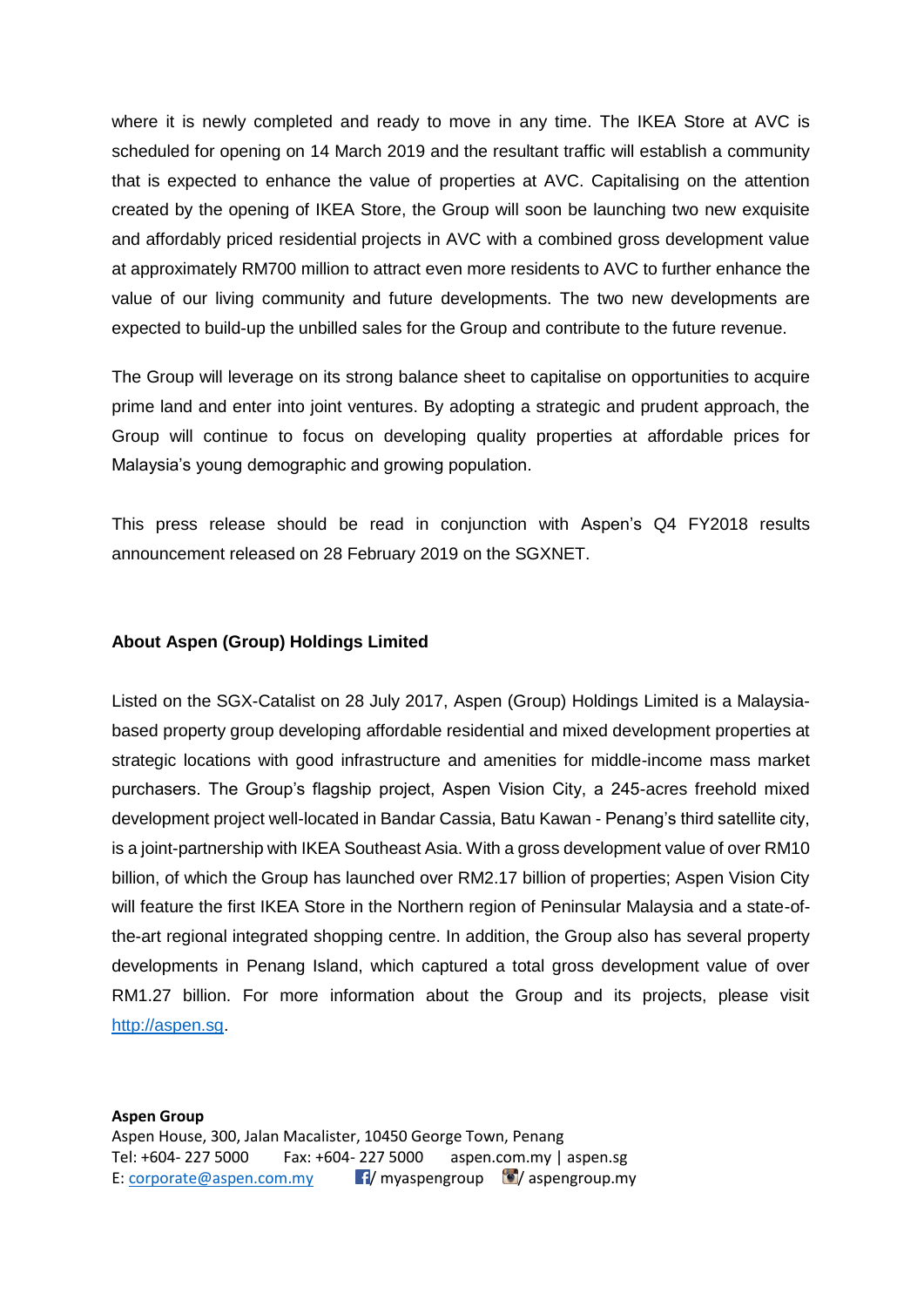where it is newly completed and ready to move in any time. The IKEA Store at AVC is scheduled for opening on 14 March 2019 and the resultant traffic will establish a community that is expected to enhance the value of properties at AVC. Capitalising on the attention created by the opening of IKEA Store, the Group will soon be launching two new exquisite and affordably priced residential projects in AVC with a combined gross development value at approximately RM700 million to attract even more residents to AVC to further enhance the value of our living community and future developments. The two new developments are expected to build-up the unbilled sales for the Group and contribute to the future revenue.

The Group will leverage on its strong balance sheet to capitalise on opportunities to acquire prime land and enter into joint ventures. By adopting a strategic and prudent approach, the Group will continue to focus on developing quality properties at affordable prices for Malaysia's young demographic and growing population.

This press release should be read in conjunction with Aspen's Q4 FY2018 results announcement released on 28 February 2019 on the SGXNET.

#### **About Aspen (Group) Holdings Limited**

Listed on the SGX-Catalist on 28 July 2017, Aspen (Group) Holdings Limited is a Malaysiabased property group developing affordable residential and mixed development properties at strategic locations with good infrastructure and amenities for middle-income mass market purchasers. The Group's flagship project, Aspen Vision City, a 245-acres freehold mixed development project well-located in Bandar Cassia, Batu Kawan - Penang's third satellite city, is a joint-partnership with IKEA Southeast Asia. With a gross development value of over RM10 billion, of which the Group has launched over RM2.17 billion of properties; Aspen Vision City will feature the first IKEA Store in the Northern region of Peninsular Malaysia and a state-ofthe-art regional integrated shopping centre. In addition, the Group also has several property developments in Penang Island, which captured a total gross development value of over RM1.27 billion. For more information about the Group and its projects, please visit [http://aspen.sg.](http://aspen.sg/)

**Aspen Group**  Aspen House, 300, Jalan Macalister, 10450 George Town, Penang Tel: +604- 227 5000 Fax: +604- 227 5000 aspen.com.my | aspen.sg E: [corporate@aspen.com.my](mailto:corporate@aspen.com.my)  $\blacksquare$ / myaspengroup  $\blacksquare$ / aspengroup.my